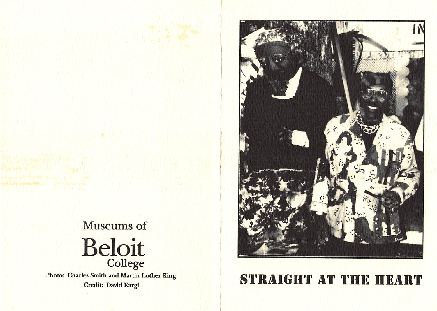

Photo: Charles Smith and Martin Luther King



## les Smith and Martin Luther King (Edit) STRAIGHT AT THE HEART